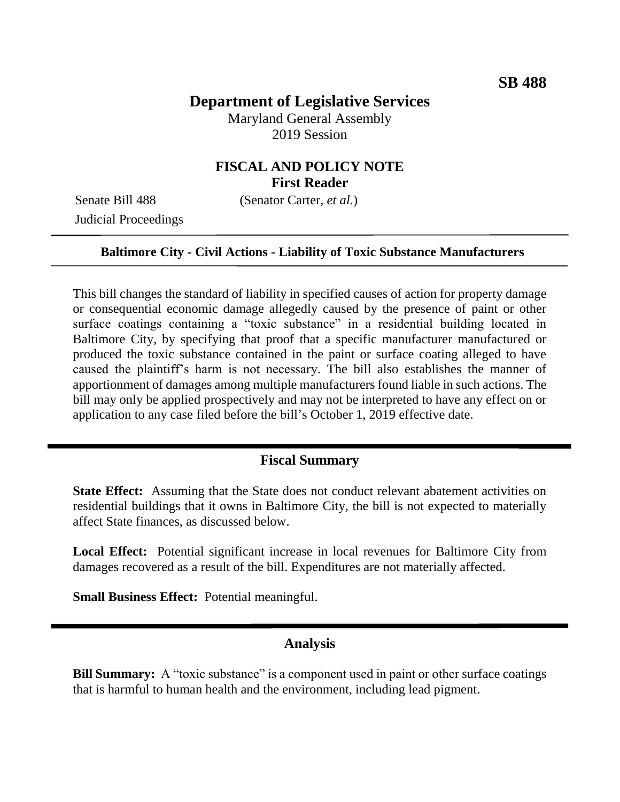# **Department of Legislative Services**

Maryland General Assembly 2019 Session

## **FISCAL AND POLICY NOTE First Reader**

Judicial Proceedings

Senate Bill 488 (Senator Carter, *et al.*)

#### **Baltimore City - Civil Actions - Liability of Toxic Substance Manufacturers**

This bill changes the standard of liability in specified causes of action for property damage or consequential economic damage allegedly caused by the presence of paint or other surface coatings containing a "toxic substance" in a residential building located in Baltimore City, by specifying that proof that a specific manufacturer manufactured or produced the toxic substance contained in the paint or surface coating alleged to have caused the plaintiff's harm is not necessary. The bill also establishes the manner of apportionment of damages among multiple manufacturers found liable in such actions. The bill may only be applied prospectively and may not be interpreted to have any effect on or application to any case filed before the bill's October 1, 2019 effective date.

## **Fiscal Summary**

**State Effect:** Assuming that the State does not conduct relevant abatement activities on residential buildings that it owns in Baltimore City, the bill is not expected to materially affect State finances, as discussed below.

**Local Effect:** Potential significant increase in local revenues for Baltimore City from damages recovered as a result of the bill. Expenditures are not materially affected.

**Small Business Effect:** Potential meaningful.

#### **Analysis**

**Bill Summary:** A "toxic substance" is a component used in paint or other surface coatings that is harmful to human health and the environment, including lead pigment.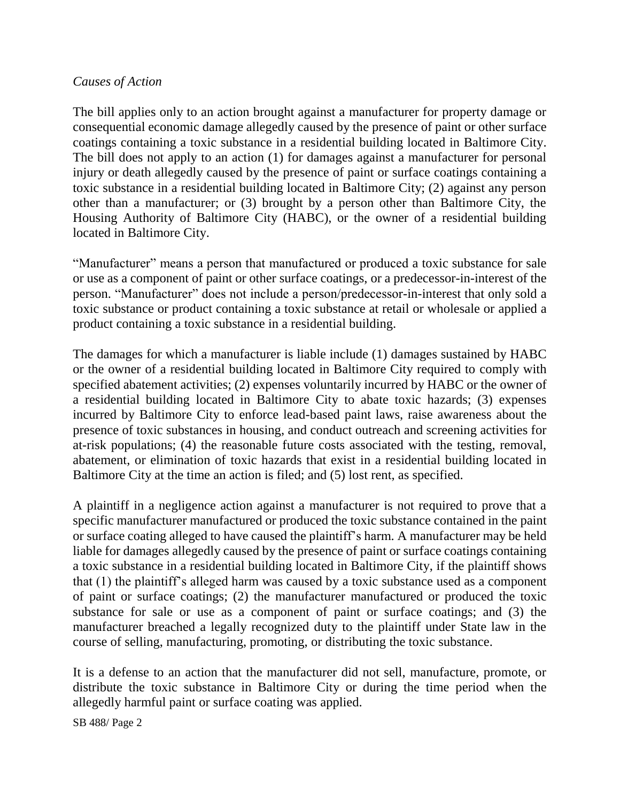## *Causes of Action*

The bill applies only to an action brought against a manufacturer for property damage or consequential economic damage allegedly caused by the presence of paint or other surface coatings containing a toxic substance in a residential building located in Baltimore City. The bill does not apply to an action (1) for damages against a manufacturer for personal injury or death allegedly caused by the presence of paint or surface coatings containing a toxic substance in a residential building located in Baltimore City; (2) against any person other than a manufacturer; or (3) brought by a person other than Baltimore City, the Housing Authority of Baltimore City (HABC), or the owner of a residential building located in Baltimore City.

"Manufacturer" means a person that manufactured or produced a toxic substance for sale or use as a component of paint or other surface coatings, or a predecessor-in-interest of the person. "Manufacturer" does not include a person/predecessor-in-interest that only sold a toxic substance or product containing a toxic substance at retail or wholesale or applied a product containing a toxic substance in a residential building.

The damages for which a manufacturer is liable include (1) damages sustained by HABC or the owner of a residential building located in Baltimore City required to comply with specified abatement activities; (2) expenses voluntarily incurred by HABC or the owner of a residential building located in Baltimore City to abate toxic hazards; (3) expenses incurred by Baltimore City to enforce lead-based paint laws, raise awareness about the presence of toxic substances in housing, and conduct outreach and screening activities for at-risk populations; (4) the reasonable future costs associated with the testing, removal, abatement, or elimination of toxic hazards that exist in a residential building located in Baltimore City at the time an action is filed; and (5) lost rent, as specified.

A plaintiff in a negligence action against a manufacturer is not required to prove that a specific manufacturer manufactured or produced the toxic substance contained in the paint or surface coating alleged to have caused the plaintiff's harm. A manufacturer may be held liable for damages allegedly caused by the presence of paint or surface coatings containing a toxic substance in a residential building located in Baltimore City, if the plaintiff shows that (1) the plaintiff's alleged harm was caused by a toxic substance used as a component of paint or surface coatings; (2) the manufacturer manufactured or produced the toxic substance for sale or use as a component of paint or surface coatings; and (3) the manufacturer breached a legally recognized duty to the plaintiff under State law in the course of selling, manufacturing, promoting, or distributing the toxic substance.

It is a defense to an action that the manufacturer did not sell, manufacture, promote, or distribute the toxic substance in Baltimore City or during the time period when the allegedly harmful paint or surface coating was applied.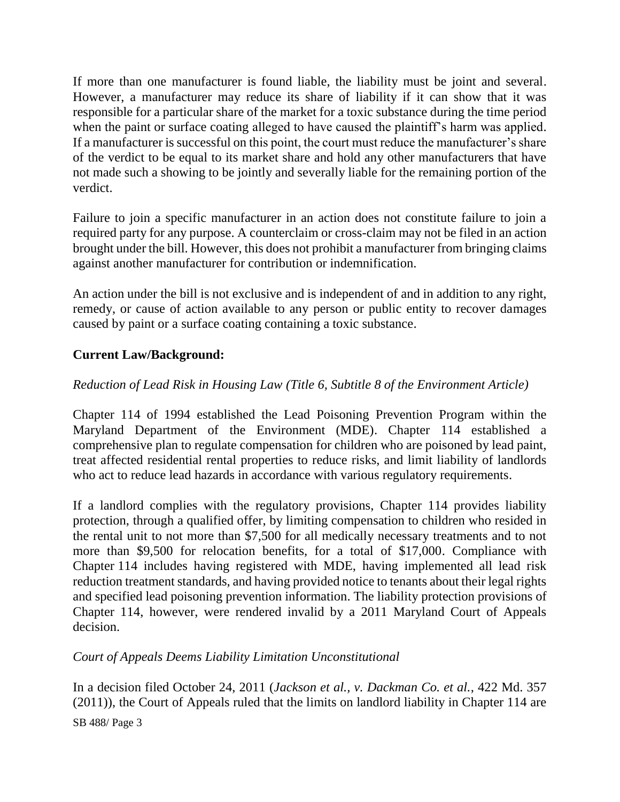If more than one manufacturer is found liable, the liability must be joint and several. However, a manufacturer may reduce its share of liability if it can show that it was responsible for a particular share of the market for a toxic substance during the time period when the paint or surface coating alleged to have caused the plaintiff's harm was applied. If a manufacturer is successful on this point, the court must reduce the manufacturer's share of the verdict to be equal to its market share and hold any other manufacturers that have not made such a showing to be jointly and severally liable for the remaining portion of the verdict.

Failure to join a specific manufacturer in an action does not constitute failure to join a required party for any purpose. A counterclaim or cross-claim may not be filed in an action brought under the bill. However, this does not prohibit a manufacturer from bringing claims against another manufacturer for contribution or indemnification.

An action under the bill is not exclusive and is independent of and in addition to any right, remedy, or cause of action available to any person or public entity to recover damages caused by paint or a surface coating containing a toxic substance.

## **Current Law/Background:**

## *Reduction of Lead Risk in Housing Law (Title 6, Subtitle 8 of the Environment Article)*

Chapter 114 of 1994 established the Lead Poisoning Prevention Program within the Maryland Department of the Environment (MDE). Chapter 114 established a comprehensive plan to regulate compensation for children who are poisoned by lead paint, treat affected residential rental properties to reduce risks, and limit liability of landlords who act to reduce lead hazards in accordance with various regulatory requirements.

If a landlord complies with the regulatory provisions, Chapter 114 provides liability protection, through a qualified offer, by limiting compensation to children who resided in the rental unit to not more than \$7,500 for all medically necessary treatments and to not more than \$9,500 for relocation benefits, for a total of \$17,000. Compliance with Chapter 114 includes having registered with MDE, having implemented all lead risk reduction treatment standards, and having provided notice to tenants about their legal rights and specified lead poisoning prevention information. The liability protection provisions of Chapter 114, however, were rendered invalid by a 2011 Maryland Court of Appeals decision.

## *Court of Appeals Deems Liability Limitation Unconstitutional*

In a decision filed October 24, 2011 (*Jackson et al., v. Dackman Co. et al.*, 422 Md. 357 (2011)), the Court of Appeals ruled that the limits on landlord liability in Chapter 114 are

SB 488/ Page 3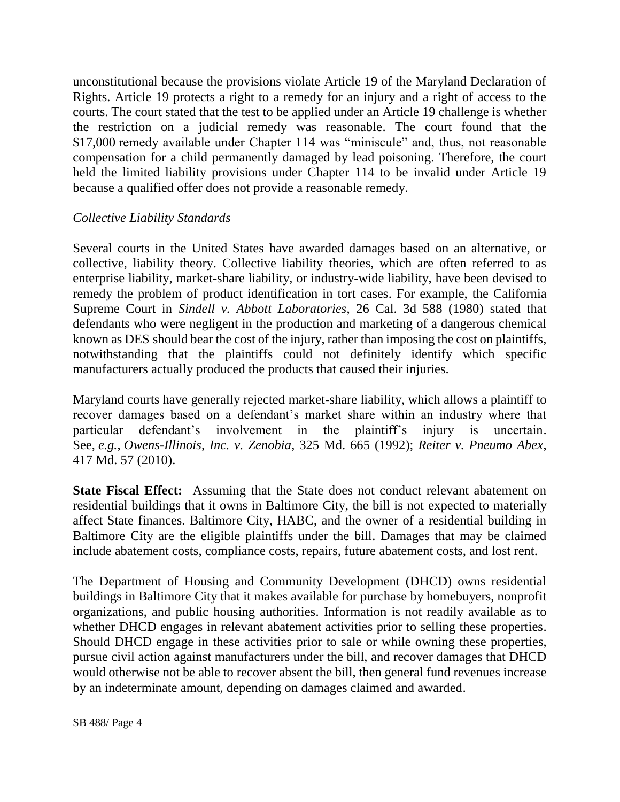unconstitutional because the provisions violate Article 19 of the Maryland Declaration of Rights. Article 19 protects a right to a remedy for an injury and a right of access to the courts. The court stated that the test to be applied under an Article 19 challenge is whether the restriction on a judicial remedy was reasonable. The court found that the \$17,000 remedy available under Chapter 114 was "miniscule" and, thus, not reasonable compensation for a child permanently damaged by lead poisoning. Therefore, the court held the limited liability provisions under Chapter 114 to be invalid under Article 19 because a qualified offer does not provide a reasonable remedy.

### *Collective Liability Standards*

Several courts in the United States have awarded damages based on an alternative, or collective, liability theory. Collective liability theories, which are often referred to as enterprise liability, market-share liability, or industry-wide liability, have been devised to remedy the problem of product identification in tort cases. For example, the California Supreme Court in *Sindell v. Abbott Laboratories*, 26 Cal. 3d 588 (1980) stated that defendants who were negligent in the production and marketing of a dangerous chemical known as DES should bear the cost of the injury, rather than imposing the cost on plaintiffs, notwithstanding that the plaintiffs could not definitely identify which specific manufacturers actually produced the products that caused their injuries.

Maryland courts have generally rejected market-share liability, which allows a plaintiff to recover damages based on a defendant's market share within an industry where that particular defendant's involvement in the plaintiff's injury is uncertain. See, *e.g.*, *Owens-Illinois, Inc. v. Zenobia*, 325 Md. 665 (1992); *Reiter v. Pneumo Abex*, 417 Md. 57 (2010).

**State Fiscal Effect:** Assuming that the State does not conduct relevant abatement on residential buildings that it owns in Baltimore City, the bill is not expected to materially affect State finances. Baltimore City, HABC, and the owner of a residential building in Baltimore City are the eligible plaintiffs under the bill. Damages that may be claimed include abatement costs, compliance costs, repairs, future abatement costs, and lost rent.

The Department of Housing and Community Development (DHCD) owns residential buildings in Baltimore City that it makes available for purchase by homebuyers, nonprofit organizations, and public housing authorities. Information is not readily available as to whether DHCD engages in relevant abatement activities prior to selling these properties. Should DHCD engage in these activities prior to sale or while owning these properties, pursue civil action against manufacturers under the bill, and recover damages that DHCD would otherwise not be able to recover absent the bill, then general fund revenues increase by an indeterminate amount, depending on damages claimed and awarded.